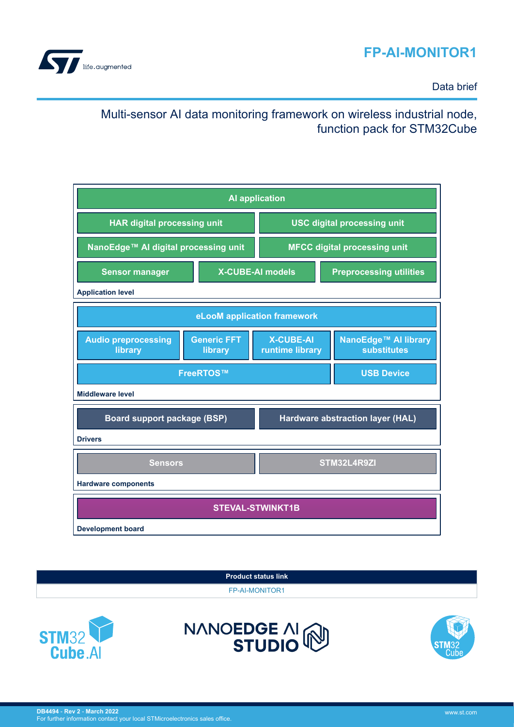# **FP-AI-MONITOR1**



Data brief

# Multi-sensor AI data monitoring framework on wireless industrial node, function pack for STM32Cube







NANOEDGE AI

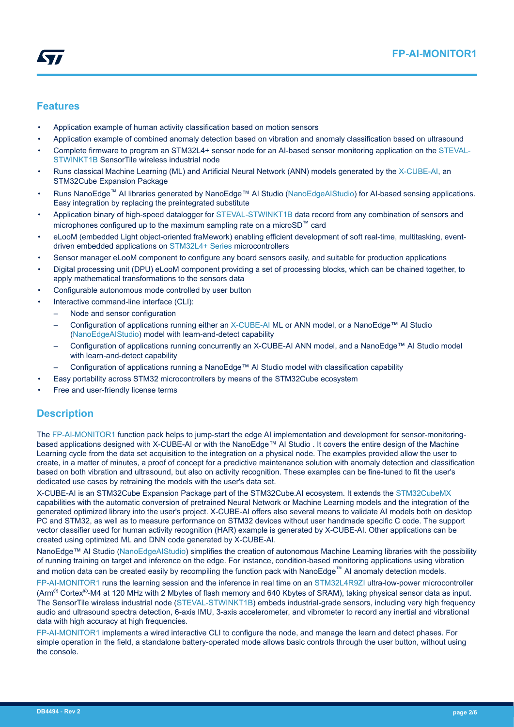## <span id="page-1-0"></span>**Features**

- Application example of human activity classification based on motion sensors
- Application example of combined anomaly detection based on vibration and anomaly classification based on ultrasound
- Complete firmware to program an STM32L4+ sensor node for an AI-based sensor monitoring application on the [STEVAL-](https://www.st.com/en/product/steval-stwinkt1b?ecmp=tt9470_gl_link_feb2019&rt=db&id=DB4494)[STWINKT1B](https://www.st.com/en/product/steval-stwinkt1b?ecmp=tt9470_gl_link_feb2019&rt=db&id=DB4494) SensorTile wireless industrial node
- Runs classical Machine Learning (ML) and Artificial Neural Network (ANN) models generated by the [X-CUBE-AI,](https://www.st.com/en/product/x-cube-ai?ecmp=tt9470_gl_link_feb2019&rt=db&id=DB4494) an STM32Cube Expansion Package
- Runs NanoEdge™ AI libraries generated by NanoEdge™ AI Studio ([NanoEdgeAIStudio](https://www.st.com/en/product/nanoedgeaistudio?ecmp=tt9470_gl_link_feb2019&rt=db&id=DB4494)) for AI-based sensing applications. Easy integration by replacing the preintegrated substitute
- Application binary of high-speed datalogger for [STEVAL-STWINKT1B](https://www.st.com/en/product/steval-stwinkt1b?ecmp=tt9470_gl_link_feb2019&rt=db&id=DB4494) data record from any combination of sensors and microphones configured up to the maximum sampling rate on a microSD™ card
- eLooM (embedded Light object-oriented fraMework) enabling efficient development of soft real-time, multitasking, eventdriven embedded applications on [STM32L4+ Series](https://www.st.com/en/microcontrollers-microprocessors/stm32l4-plus-series.html) microcontrollers
- Sensor manager eLooM component to configure any board sensors easily, and suitable for production applications
- Digital processing unit (DPU) eLooM component providing a set of processing blocks, which can be chained together, to apply mathematical transformations to the sensors data
- Configurable autonomous mode controlled by user button
- Interactive command-line interface (CLI):
	- Node and sensor configuration
	- Configuration of applications running either an [X-CUBE-AI](https://www.st.com/en/product/x-cube-ai?ecmp=tt9470_gl_link_feb2019&rt=db&id=DB4494) ML or ANN model, or a NanoEdge™ AI Studio [\(NanoEdgeAIStudio\)](https://www.st.com/en/product/nanoedgeaistudio?ecmp=tt9470_gl_link_feb2019&rt=db&id=DB4494) model with learn-and-detect capability
	- Configuration of applications running concurrently an X-CUBE-AI ANN model, and a NanoEdge™ AI Studio model with learn-and-detect capability
	- Configuration of applications running a NanoEdge™ AI Studio model with classification capability
- Easy portability across STM32 microcontrollers by means of the STM32Cube ecosystem
- Free and user-friendly license terms

## **Description**

The [FP-AI-MONITOR1](https://www.st.com/en/product/fp-ai-monitor1?ecmp=tt9470_gl_link_feb2019&rt=db&id=DB4494) function pack helps to jump-start the edge AI implementation and development for sensor-monitoringbased applications designed with X-CUBE-AI or with the NanoEdge™ AI Studio. It covers the entire design of the Machine Learning cycle from the data set acquisition to the integration on a physical node. The examples provided allow the user to create, in a matter of minutes, a proof of concept for a predictive maintenance solution with anomaly detection and classification based on both vibration and ultrasound, but also on activity recognition. These examples can be fine-tuned to fit the user's dedicated use cases by retraining the models with the user's data set.

X-CUBE-AI is an STM32Cube Expansion Package part of the STM32Cube.AI ecosystem. It extends the [STM32CubeMX](https://www.st.com/en/product/stm32cubemx?ecmp=tt9470_gl_link_feb2019&rt=db&id=DB4494) capabilities with the automatic conversion of pretrained Neural Network or Machine Learning models and the integration of the generated optimized library into the user's project. X-CUBE-AI offers also several means to validate AI models both on desktop PC and STM32, as well as to measure performance on STM32 devices without user handmade specific C code. The support vector classifier used for human activity recognition (HAR) example is generated by X-CUBE-AI. Other applications can be created using optimized ML and DNN code generated by X-CUBE-AI.

NanoEdge™ AI Studio ([NanoEdgeAIStudio](https://www.st.com/en/product/nanoedgeaistudio?ecmp=tt9470_gl_link_feb2019&rt=db&id=DB4494)) simplifies the creation of autonomous Machine Learning libraries with the possibility of running training on target and inference on the edge. For instance, condition-based monitoring applications using vibration and motion data can be created easily by recompiling the function pack with NanoEdge™ AI anomaly detection models.

[FP-AI-MONITOR1](https://www.st.com/en/product/fp-ai-monitor1?ecmp=tt9470_gl_link_feb2019&rt=db&id=DB4494) runs the learning session and the inference in real time on an [STM32L4R9ZI](https://www.st.com/en/product/STM32L4R9ZI?ecmp=tt9470_gl_link_feb2019&rt=db&id=DB4494) ultra-low-power microcontroller (Arm® Cortex®‑M4 at 120 MHz with 2 Mbytes of flash memory and 640 Kbytes of SRAM), taking physical sensor data as input. The SensorTile wireless industrial node ([STEVAL-STWINKT1B](https://www.st.com/en/product/steval-stwinkt1b?ecmp=tt9470_gl_link_feb2019&rt=db&id=DB4494)) embeds industrial-grade sensors, including very high frequency audio and ultrasound spectra detection, 6-axis IMU, 3-axis accelerometer, and vibrometer to record any inertial and vibrational data with high accuracy at high frequencies.

[FP-AI-MONITOR1](https://www.st.com/en/product/fp-ai-monitor1?ecmp=tt9470_gl_link_feb2019&rt=db&id=DB4494) implements a wired interactive CLI to configure the node, and manage the learn and detect phases. For simple operation in the field, a standalone battery-operated mode allows basic controls through the user button, without using the console.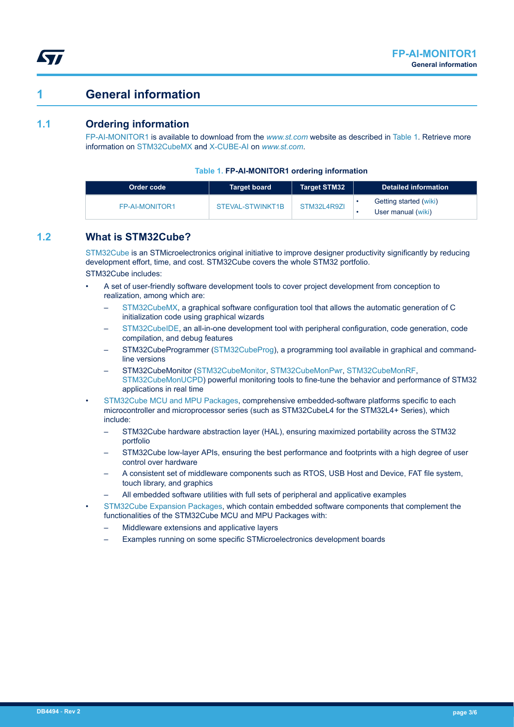# **1 General information**

## **1.1 Ordering information**

<span id="page-2-0"></span>W

[FP-AI-MONITOR1](https://www.st.com/en/product/fp-ai-monitor1?ecmp=tt9470_gl_link_feb2019&rt=db&id=DB4494) is available to download from the *[www.st.com](https://www.st.com)* website as described in Table 1. Retrieve more information on [STM32CubeMX](https://www.st.com/en/product/stm32cubemx?ecmp=tt9470_gl_link_feb2019&rt=db&id=DB4494) and [X-CUBE-AI](https://www.st.com/en/product/x-cube-ai?ecmp=tt9470_gl_link_feb2019&rt=db&id=DB4494) on *[www.st.com](https://www.st.com)*.

#### **Table 1. FP-AI-MONITOR1 ordering information**

| Order code     | <b>Target board</b> | Target STM32 | <b>Detailed information</b>                  |
|----------------|---------------------|--------------|----------------------------------------------|
| FP-AI-MONITOR1 | STEVAL-STWINKT1B    | STM32L4R9ZL  | Getting started (wiki)<br>User manual (wiki) |

## **1.2 What is STM32Cube?**

[STM32Cube](https://www.st.com/stm32cube) is an STMicroelectronics original initiative to improve designer productivity significantly by reducing development effort, time, and cost. STM32Cube covers the whole STM32 portfolio. STM32Cube includes:

- A set of user-friendly software development tools to cover project development from conception to realization, among which are:
	- [STM32CubeMX,](https://www.st.com/en/product/stm32cubemx?ecmp=tt9470_gl_link_feb2019&rt=db&id=DB4494) a graphical software configuration tool that allows the automatic generation of C initialization code using graphical wizards
	- [STM32CubeIDE](https://www.st.com/en/product/stm32cubeide?ecmp=tt9470_gl_link_feb2019&rt=db&id=DB4494), an all-in-one development tool with peripheral configuration, code generation, code compilation, and debug features
	- STM32CubeProgrammer ([STM32CubeProg](https://www.st.com/en/product/stm32cubeprog?ecmp=tt9470_gl_link_feb2019&rt=db&id=DB4494)), a programming tool available in graphical and commandline versions
	- STM32CubeMonitor ([STM32CubeMonitor](https://www.st.com/en/product/stm32cubemonitor?ecmp=tt9470_gl_link_feb2019&rt=db&id=DB4494), [STM32CubeMonPwr,](https://www.st.com/en/product/stm32cubemonpwr?ecmp=tt9470_gl_link_feb2019&rt=db&id=DB4494) [STM32CubeMonRF,](https://www.st.com/en/product/stm32cubemonrf?ecmp=tt9470_gl_link_feb2019&rt=db&id=DB4494) [STM32CubeMonUCPD](https://www.st.com/en/product/stm32cubemonucpd?ecmp=tt9470_gl_link_feb2019&rt=db&id=DB4494)) powerful monitoring tools to fine-tune the behavior and performance of STM32 applications in real time
- [STM32Cube MCU and MPU Packages](https://www.st.com/en/embedded-software/stm32cube-mcu-mpu-packages.html), comprehensive embedded-software platforms specific to each microcontroller and microprocessor series (such as STM32CubeL4 for the STM32L4+ Series), which include:
	- STM32Cube hardware abstraction layer (HAL), ensuring maximized portability across the STM32 portfolio
	- STM32Cube low-layer APIs, ensuring the best performance and footprints with a high degree of user control over hardware
	- A consistent set of middleware components such as RTOS, USB Host and Device, FAT file system, touch library, and graphics
	- All embedded software utilities with full sets of peripheral and applicative examples
- [STM32Cube Expansion Packages,](https://www.st.com/en/embedded-software/stm32cube-expansion-packages.html) which contain embedded software components that complement the functionalities of the STM32Cube MCU and MPU Packages with:
	- Middleware extensions and applicative layers
	- Examples running on some specific STMicroelectronics development boards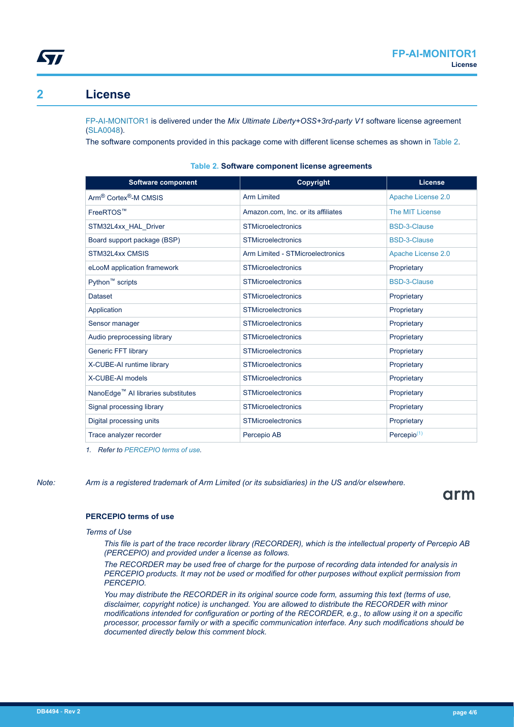<span id="page-3-0"></span>

# **2 License**

[FP-AI-MONITOR1](https://www.st.com/en/product/fp-ai-monitor1?ecmp=tt9470_gl_link_feb2019&rt=db&id=DB4494) is delivered under the *Mix Ultimate Liberty+OSS+3rd-party V1* software license agreement [\(SLA0048](https://www.st.com/sla0048)).

The software components provided in this package come with different license schemes as shown in Table 2.

| <b>Software component</b>                      | <b>Copyright</b>                   | License             |
|------------------------------------------------|------------------------------------|---------------------|
| Arm <sup>®</sup> Cortex <sup>®</sup> -M CMSIS  | <b>Arm Limited</b>                 | Apache License 2.0  |
| FreeRTOS™                                      | Amazon.com, Inc. or its affiliates | The MIT License     |
| STM32L4xx HAL Driver                           | <b>STMicroelectronics</b>          | <b>BSD-3-Clause</b> |
| Board support package (BSP)                    | <b>STMicroelectronics</b>          | <b>BSD-3-Clause</b> |
| STM32L4xx CMSIS                                | Arm Limited - STMicroelectronics   | Apache License 2.0  |
| eLooM application framework                    | <b>STMicroelectronics</b>          | Proprietary         |
| Python <sup>™</sup> scripts                    | <b>STMicroelectronics</b>          | <b>BSD-3-Clause</b> |
| <b>Dataset</b>                                 | <b>STMicroelectronics</b>          | Proprietary         |
| Application                                    | <b>STMicroelectronics</b>          | Proprietary         |
| Sensor manager                                 | <b>STMicroelectronics</b>          | Proprietary         |
| Audio preprocessing library                    | <b>STMicroelectronics</b>          | Proprietary         |
| Generic FFT library                            | <b>STMicroelectronics</b>          | Proprietary         |
| X-CUBE-AI runtime library                      | <b>STMicroelectronics</b>          | Proprietary         |
| X-CUBE-AI models                               | <b>STMicroelectronics</b>          | Proprietary         |
| NanoEdge <sup>™</sup> Al libraries substitutes | <b>STMicroelectronics</b>          | Proprietary         |
| Signal processing library                      | <b>STMicroelectronics</b>          | Proprietary         |
| Digital processing units                       | <b>STMicroelectronics</b>          | Proprietary         |
| Trace analyzer recorder                        | Percepio AB                        | Percepio $(1)$      |

#### **Table 2. Software component license agreements**

*1. Refer to PERCEPIO terms of use.*

*Note: Arm is a registered trademark of Arm Limited (or its subsidiaries) in the US and/or elsewhere.*

# arm

### **PERCEPIO terms of use**

#### *Terms of Use*

*This file is part of the trace recorder library (RECORDER), which is the intellectual property of Percepio AB (PERCEPIO) and provided under a license as follows.*

*The RECORDER may be used free of charge for the purpose of recording data intended for analysis in PERCEPIO products. It may not be used or modified for other purposes without explicit permission from PERCEPIO.*

*You may distribute the RECORDER in its original source code form, assuming this text (terms of use, disclaimer, copyright notice) is unchanged. You are allowed to distribute the RECORDER with minor modifications intended for configuration or porting of the RECORDER, e.g., to allow using it on a specific processor, processor family or with a specific communication interface. Any such modifications should be documented directly below this comment block.*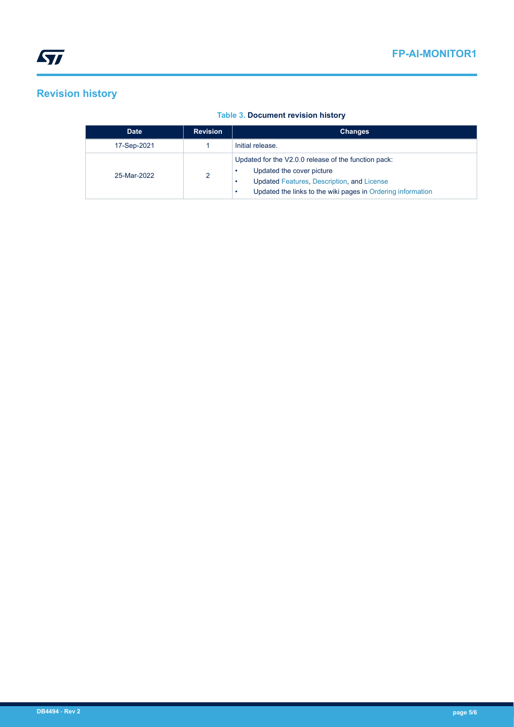# **Revision history**

## **Table 3. Document revision history**

| <b>Date</b> | <b>Revision</b> | <b>Changes</b>                                                                                                                                                                                 |  |
|-------------|-----------------|------------------------------------------------------------------------------------------------------------------------------------------------------------------------------------------------|--|
| 17-Sep-2021 |                 | Initial release.                                                                                                                                                                               |  |
| 25-Mar-2022 | 2               | Updated for the V2.0.0 release of the function pack:<br>Updated the cover picture<br>Updated Features, Description, and License<br>Updated the links to the wiki pages in Ordering information |  |